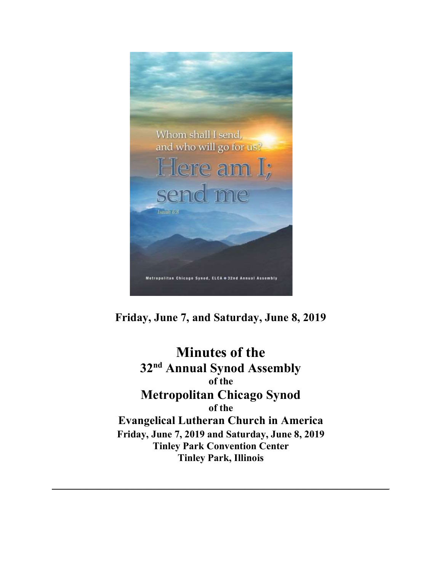

Friday, June 7, and Saturday, June 8, 2019

Minutes of the 32<sup>nd</sup> Annual Synod Assembly of the Metropolitan Chicago Synod of the Evangelical Lutheran Church in America Friday, June 7, 2019 and Saturday, June 8, 2019 Tinley Park Convention Center Tinley Park, Illinois

\_\_\_\_\_\_\_\_\_\_\_\_\_\_\_\_\_\_\_\_\_\_\_\_\_\_\_\_\_\_\_\_\_\_\_\_\_\_\_\_\_\_\_\_\_\_\_\_\_\_\_\_\_\_\_\_\_\_\_\_\_\_\_\_\_\_\_\_\_\_\_\_\_\_\_\_\_\_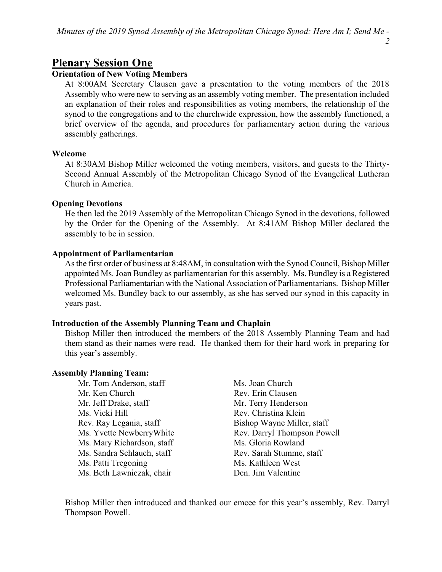# Plenary Session One

# Orientation of New Voting Members

At 8:00AM Secretary Clausen gave a presentation to the voting members of the 2018 Assembly who were new to serving as an assembly voting member. The presentation included an explanation of their roles and responsibilities as voting members, the relationship of the synod to the congregations and to the churchwide expression, how the assembly functioned, a brief overview of the agenda, and procedures for parliamentary action during the various assembly gatherings.

## Welcome

At 8:30AM Bishop Miller welcomed the voting members, visitors, and guests to the Thirty-Second Annual Assembly of the Metropolitan Chicago Synod of the Evangelical Lutheran Church in America.

## Opening Devotions

He then led the 2019 Assembly of the Metropolitan Chicago Synod in the devotions, followed by the Order for the Opening of the Assembly. At 8:41AM Bishop Miller declared the assembly to be in session.

## Appointment of Parliamentarian

As the first order of business at 8:48AM, in consultation with the Synod Council, Bishop Miller appointed Ms. Joan Bundley as parliamentarian for this assembly. Ms. Bundley is a Registered Professional Parliamentarian with the National Association of Parliamentarians. Bishop Miller welcomed Ms. Bundley back to our assembly, as she has served our synod in this capacity in years past.

# Introduction of the Assembly Planning Team and Chaplain

Bishop Miller then introduced the members of the 2018 Assembly Planning Team and had them stand as their names were read. He thanked them for their hard work in preparing for this year's assembly.

## Assembly Planning Team:

- Mr. Tom Anderson, staff Ms. Joan Church Mr. Ken Church Rev. Erin Clausen Mr. Jeff Drake, staff Mr. Terry Henderson Ms. Vicki Hill **Rev. Christina Klein** Rev. Ray Legania, staff Bishop Wayne Miller, staff Ms. Mary Richardson, staff Ms. Gloria Rowland Ms. Sandra Schlauch, staff Rev. Sarah Stumme, staff Ms. Patti Tregoning Ms. Kathleen West Ms. Beth Lawniczak, chair Den. Jim Valentine
- Ms. Yvette Newberry White Rev. Darryl Thompson Powell

Bishop Miller then introduced and thanked our emcee for this year's assembly, Rev. Darryl Thompson Powell.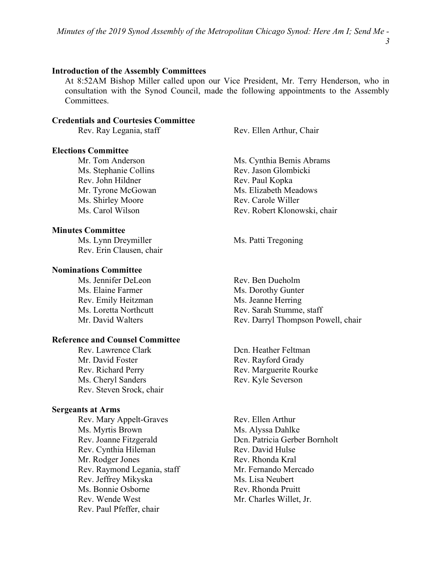#### Introduction of the Assembly Committees

At 8:52AM Bishop Miller called upon our Vice President, Mr. Terry Henderson, who in consultation with the Synod Council, made the following appointments to the Assembly Committees.

#### Credentials and Courtesies Committee

#### Elections Committee

Ms. Stephanie Collins Rev. Jason Glombicki Rev. John Hildner Rev. Paul Kopka Ms. Shirley Moore Rev. Carole Willer

#### Minutes Committee

Ms. Lynn Dreymiller Ms. Patti Tregoning Rev. Erin Clausen, chair

## Nominations Committee

Ms. Jennifer DeLeon Rev. Ben Dueholm Ms. Elaine Farmer Ms. Dorothy Gunter Rev. Emily Heitzman Ms. Jeanne Herring

#### Reference and Counsel Committee

Rev. Lawrence Clark Dcn. Heather Feltman Mr. David Foster Rev. Rayford Grady Rev. Richard Perry Rev. Marguerite Rourke Ms. Cheryl Sanders Rev. Kyle Severson Rev. Steven Srock, chair

#### Sergeants at Arms

Rev. Mary Appelt-Graves Rev. Ellen Arthur Ms. Myrtis Brown Ms. Alyssa Dahlke Rev. Cynthia Hileman Rev. David Hulse Mr. Rodger Jones Rev. Rhonda Kral Rev. Raymond Legania, staff Mr. Fernando Mercado Rev. Jeffrey Mikyska Ms. Lisa Neubert Ms. Bonnie Osborne Rev. Rhonda Pruitt Rev. Wende West Mr. Charles Willet, Jr. Rev. Paul Pfeffer, chair

Rev. Ray Legania, staff Rev. Ellen Arthur, Chair

Mr. Tom Anderson Ms. Cynthia Bemis Abrams Mr. Tyrone McGowan Ms. Elizabeth Meadows Ms. Carol Wilson Rev. Robert Klonowski, chair

Ms. Loretta Northcutt Rev. Sarah Stumme, staff Mr. David Walters Rev. Darryl Thompson Powell, chair

Rev. Joanne Fitzgerald Dcn. Patricia Gerber Bornholt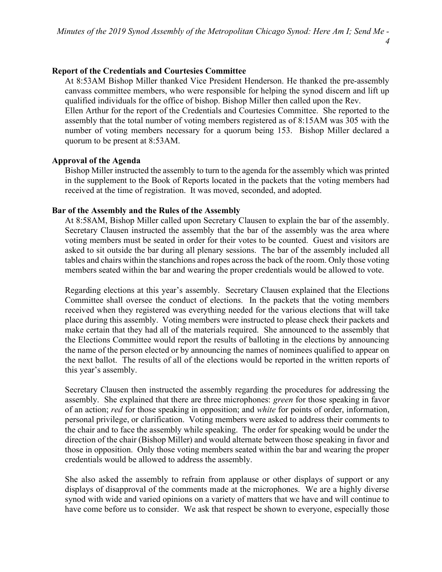# Report of the Credentials and Courtesies Committee

At 8:53AM Bishop Miller thanked Vice President Henderson. He thanked the pre-assembly canvass committee members, who were responsible for helping the synod discern and lift up qualified individuals for the office of bishop. Bishop Miller then called upon the Rev.

Ellen Arthur for the report of the Credentials and Courtesies Committee. She reported to the assembly that the total number of voting members registered as of 8:15AM was 305 with the number of voting members necessary for a quorum being 153. Bishop Miller declared a quorum to be present at 8:53AM.

# Approval of the Agenda

Bishop Miller instructed the assembly to turn to the agenda for the assembly which was printed in the supplement to the Book of Reports located in the packets that the voting members had received at the time of registration. It was moved, seconded, and adopted.

# Bar of the Assembly and the Rules of the Assembly

At 8:58AM, Bishop Miller called upon Secretary Clausen to explain the bar of the assembly. Secretary Clausen instructed the assembly that the bar of the assembly was the area where voting members must be seated in order for their votes to be counted. Guest and visitors are asked to sit outside the bar during all plenary sessions. The bar of the assembly included all tables and chairs within the stanchions and ropes across the back of the room. Only those voting members seated within the bar and wearing the proper credentials would be allowed to vote.

Regarding elections at this year's assembly. Secretary Clausen explained that the Elections Committee shall oversee the conduct of elections. In the packets that the voting members received when they registered was everything needed for the various elections that will take place during this assembly. Voting members were instructed to please check their packets and make certain that they had all of the materials required. She announced to the assembly that the Elections Committee would report the results of balloting in the elections by announcing the name of the person elected or by announcing the names of nominees qualified to appear on the next ballot. The results of all of the elections would be reported in the written reports of this year's assembly.

Secretary Clausen then instructed the assembly regarding the procedures for addressing the assembly. She explained that there are three microphones: *green* for those speaking in favor of an action; red for those speaking in opposition; and *white* for points of order, information, personal privilege, or clarification. Voting members were asked to address their comments to the chair and to face the assembly while speaking. The order for speaking would be under the direction of the chair (Bishop Miller) and would alternate between those speaking in favor and those in opposition. Only those voting members seated within the bar and wearing the proper credentials would be allowed to address the assembly.

She also asked the assembly to refrain from applause or other displays of support or any displays of disapproval of the comments made at the microphones. We are a highly diverse synod with wide and varied opinions on a variety of matters that we have and will continue to have come before us to consider. We ask that respect be shown to everyone, especially those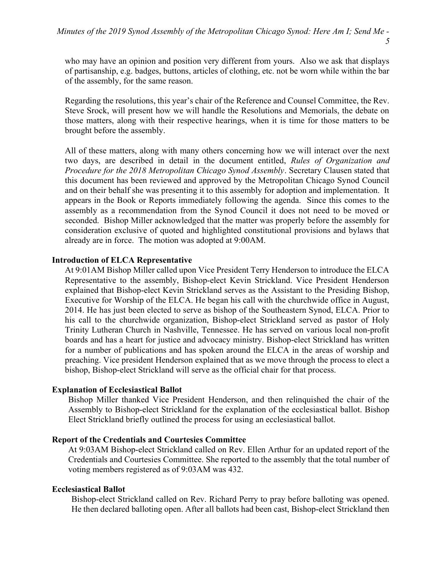who may have an opinion and position very different from yours. Also we ask that displays of partisanship, e.g. badges, buttons, articles of clothing, etc. not be worn while within the bar of the assembly, for the same reason.

Regarding the resolutions, this year's chair of the Reference and Counsel Committee, the Rev. Steve Srock, will present how we will handle the Resolutions and Memorials, the debate on those matters, along with their respective hearings, when it is time for those matters to be brought before the assembly.

All of these matters, along with many others concerning how we will interact over the next two days, are described in detail in the document entitled, Rules of Organization and Procedure for the 2018 Metropolitan Chicago Synod Assembly. Secretary Clausen stated that this document has been reviewed and approved by the Metropolitan Chicago Synod Council and on their behalf she was presenting it to this assembly for adoption and implementation. It appears in the Book or Reports immediately following the agenda. Since this comes to the assembly as a recommendation from the Synod Council it does not need to be moved or seconded. Bishop Miller acknowledged that the matter was properly before the assembly for consideration exclusive of quoted and highlighted constitutional provisions and bylaws that already are in force. The motion was adopted at 9:00AM.

#### Introduction of ELCA Representative

At 9:01AM Bishop Miller called upon Vice President Terry Henderson to introduce the ELCA Representative to the assembly, Bishop-elect Kevin Strickland. Vice President Henderson explained that Bishop-elect Kevin Strickland serves as the Assistant to the Presiding Bishop, Executive for Worship of the ELCA. He began his call with the churchwide office in August, 2014. He has just been elected to serve as bishop of the Southeastern Synod, ELCA. Prior to his call to the churchwide organization, Bishop-elect Strickland served as pastor of Holy Trinity Lutheran Church in Nashville, Tennessee. He has served on various local non-profit boards and has a heart for justice and advocacy ministry. Bishop-elect Strickland has written for a number of publications and has spoken around the ELCA in the areas of worship and preaching. Vice president Henderson explained that as we move through the process to elect a bishop, Bishop-elect Strickland will serve as the official chair for that process.

#### Explanation of Ecclesiastical Ballot

Bishop Miller thanked Vice President Henderson, and then relinquished the chair of the Assembly to Bishop-elect Strickland for the explanation of the ecclesiastical ballot. Bishop Elect Strickland briefly outlined the process for using an ecclesiastical ballot.

#### Report of the Credentials and Courtesies Committee

At 9:03AM Bishop-elect Strickland called on Rev. Ellen Arthur for an updated report of the Credentials and Courtesies Committee. She reported to the assembly that the total number of voting members registered as of 9:03AM was 432.

#### Ecclesiastical Ballot

Bishop-elect Strickland called on Rev. Richard Perry to pray before balloting was opened. He then declared balloting open. After all ballots had been cast, Bishop-elect Strickland then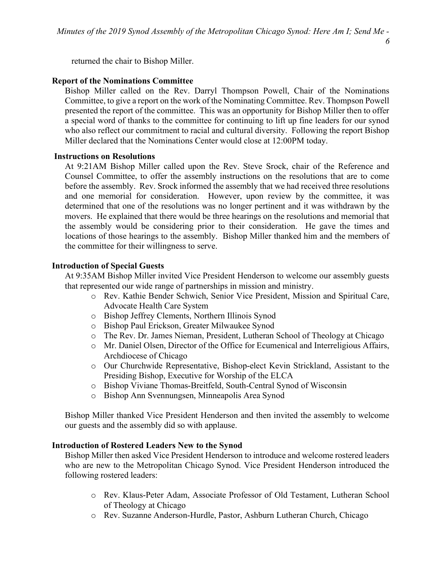returned the chair to Bishop Miller.

### Report of the Nominations Committee

Bishop Miller called on the Rev. Darryl Thompson Powell, Chair of the Nominations Committee, to give a report on the work of the Nominating Committee. Rev. Thompson Powell presented the report of the committee. This was an opportunity for Bishop Miller then to offer a special word of thanks to the committee for continuing to lift up fine leaders for our synod who also reflect our commitment to racial and cultural diversity. Following the report Bishop Miller declared that the Nominations Center would close at 12:00PM today.

#### Instructions on Resolutions

At 9:21AM Bishop Miller called upon the Rev. Steve Srock, chair of the Reference and Counsel Committee, to offer the assembly instructions on the resolutions that are to come before the assembly. Rev. Srock informed the assembly that we had received three resolutions and one memorial for consideration. However, upon review by the committee, it was determined that one of the resolutions was no longer pertinent and it was withdrawn by the movers. He explained that there would be three hearings on the resolutions and memorial that the assembly would be considering prior to their consideration. He gave the times and locations of those hearings to the assembly. Bishop Miller thanked him and the members of the committee for their willingness to serve.

## Introduction of Special Guests

At 9:35AM Bishop Miller invited Vice President Henderson to welcome our assembly guests that represented our wide range of partnerships in mission and ministry.

- o Rev. Kathie Bender Schwich, Senior Vice President, Mission and Spiritual Care, Advocate Health Care System
- o Bishop Jeffrey Clements, Northern Illinois Synod
- o Bishop Paul Erickson, Greater Milwaukee Synod
- o The Rev. Dr. James Nieman, President, Lutheran School of Theology at Chicago
- o Mr. Daniel Olsen, Director of the Office for Ecumenical and Interreligious Affairs, Archdiocese of Chicago
- o Our Churchwide Representative, Bishop-elect Kevin Strickland, Assistant to the Presiding Bishop, Executive for Worship of the ELCA
- o Bishop Viviane Thomas-Breitfeld, South-Central Synod of Wisconsin
- o Bishop Ann Svennungsen, Minneapolis Area Synod

Bishop Miller thanked Vice President Henderson and then invited the assembly to welcome our guests and the assembly did so with applause.

#### Introduction of Rostered Leaders New to the Synod

Bishop Miller then asked Vice President Henderson to introduce and welcome rostered leaders who are new to the Metropolitan Chicago Synod. Vice President Henderson introduced the following rostered leaders:

- o Rev. Klaus-Peter Adam, Associate Professor of Old Testament, Lutheran School of Theology at Chicago
- o Rev. Suzanne Anderson-Hurdle, Pastor, Ashburn Lutheran Church, Chicago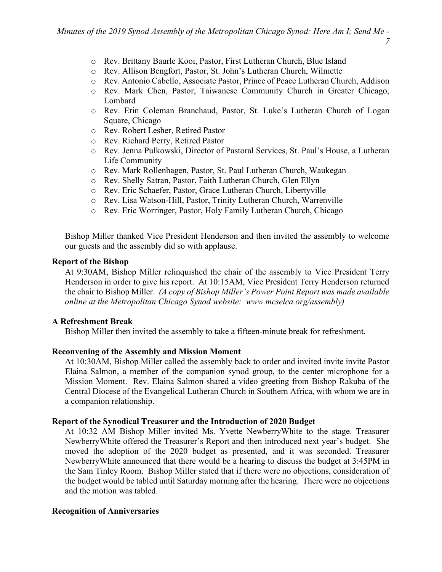- o Rev. Brittany Baurle Kooi, Pastor, First Lutheran Church, Blue Island
- o Rev. Allison Bengfort, Pastor, St. John's Lutheran Church, Wilmette
- o Rev. Antonio Cabello, Associate Pastor, Prince of Peace Lutheran Church, Addison
- o Rev. Mark Chen, Pastor, Taiwanese Community Church in Greater Chicago, Lombard
- o Rev. Erin Coleman Branchaud, Pastor, St. Luke's Lutheran Church of Logan Square, Chicago
- o Rev. Robert Lesher, Retired Pastor
- o Rev. Richard Perry, Retired Pastor
- o Rev. Jenna Pulkowski, Director of Pastoral Services, St. Paul's House, a Lutheran Life Community
- o Rev. Mark Rollenhagen, Pastor, St. Paul Lutheran Church, Waukegan
- o Rev. Shelly Satran, Pastor, Faith Lutheran Church, Glen Ellyn
- o Rev. Eric Schaefer, Pastor, Grace Lutheran Church, Libertyville
- o Rev. Lisa Watson-Hill, Pastor, Trinity Lutheran Church, Warrenville
- o Rev. Eric Worringer, Pastor, Holy Family Lutheran Church, Chicago

Bishop Miller thanked Vice President Henderson and then invited the assembly to welcome our guests and the assembly did so with applause.

# Report of the Bishop

At 9:30AM, Bishop Miller relinquished the chair of the assembly to Vice President Terry Henderson in order to give his report. At 10:15AM, Vice President Terry Henderson returned the chair to Bishop Miller. (A copy of Bishop Miller's Power Point Report was made available online at the Metropolitan Chicago Synod website: www.mcselca.org/assembly)

# A Refreshment Break

Bishop Miller then invited the assembly to take a fifteen-minute break for refreshment.

# Reconvening of the Assembly and Mission Moment

At 10:30AM, Bishop Miller called the assembly back to order and invited invite invite Pastor Elaina Salmon, a member of the companion synod group, to the center microphone for a Mission Moment. Rev. Elaina Salmon shared a video greeting from Bishop Rakuba of the Central Diocese of the Evangelical Lutheran Church in Southern Africa, with whom we are in a companion relationship.

# Report of the Synodical Treasurer and the Introduction of 2020 Budget

At 10:32 AM Bishop Miller invited Ms. Yvette NewberryWhite to the stage. Treasurer NewberryWhite offered the Treasurer's Report and then introduced next year's budget. She moved the adoption of the 2020 budget as presented, and it was seconded. Treasurer NewberryWhite announced that there would be a hearing to discuss the budget at 3:45PM in the Sam Tinley Room. Bishop Miller stated that if there were no objections, consideration of the budget would be tabled until Saturday morning after the hearing. There were no objections and the motion was tabled.

# Recognition of Anniversaries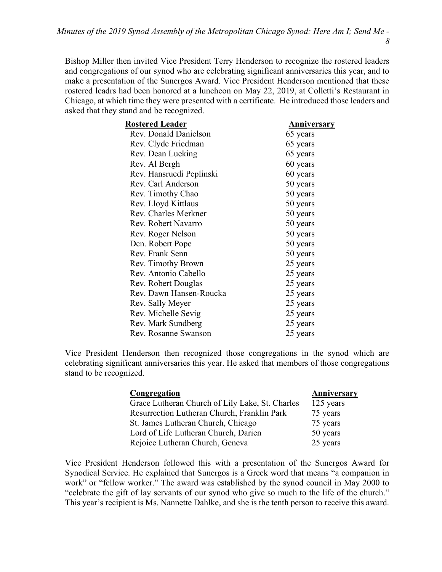Bishop Miller then invited Vice President Terry Henderson to recognize the rostered leaders and congregations of our synod who are celebrating significant anniversaries this year, and to make a presentation of the Sunergos Award. Vice President Henderson mentioned that these rostered leadrs had been honored at a luncheon on May 22, 2019, at Colletti's Restaurant in Chicago, at which time they were presented with a certificate. He introduced those leaders and asked that they stand and be recognized.

| <b>Rostered Leader</b>   | Anniversary |
|--------------------------|-------------|
| Rev. Donald Danielson    | 65 years    |
| Rev. Clyde Friedman      | 65 years    |
| Rev. Dean Lueking        | 65 years    |
| Rev. Al Bergh            | 60 years    |
| Rev. Hansruedi Peplinski | 60 years    |
| Rev. Carl Anderson       | 50 years    |
| Rev. Timothy Chao        | 50 years    |
| Rev. Lloyd Kittlaus      | 50 years    |
| Rev. Charles Merkner     | 50 years    |
| Rev. Robert Navarro      | 50 years    |
| Rev. Roger Nelson        | 50 years    |
| Den. Robert Pope         | 50 years    |
| Rev. Frank Senn          | 50 years    |
| Rev. Timothy Brown       | 25 years    |
| Rev. Antonio Cabello     | 25 years    |
| Rev. Robert Douglas      | 25 years    |
| Rev. Dawn Hansen-Roucka  | 25 years    |
| Rev. Sally Meyer         | 25 years    |
| Rev. Michelle Sevig      | 25 years    |
| Rev. Mark Sundberg       | 25 years    |
| Rev. Rosanne Swanson     | 25 years    |

Vice President Henderson then recognized those congregations in the synod which are celebrating significant anniversaries this year. He asked that members of those congregations stand to be recognized.

| Congregation                                    | Anniversary |
|-------------------------------------------------|-------------|
| Grace Lutheran Church of Lily Lake, St. Charles | 125 years   |
| Resurrection Lutheran Church, Franklin Park     | 75 years    |
| St. James Lutheran Church, Chicago              | 75 years    |
| Lord of Life Lutheran Church, Darien            | 50 years    |
| Rejoice Lutheran Church, Geneva                 | 25 years    |

Vice President Henderson followed this with a presentation of the Sunergos Award for Synodical Service. He explained that Sunergos is a Greek word that means "a companion in work" or "fellow worker." The award was established by the synod council in May 2000 to "celebrate the gift of lay servants of our synod who give so much to the life of the church." This year's recipient is Ms. Nannette Dahlke, and she is the tenth person to receive this award.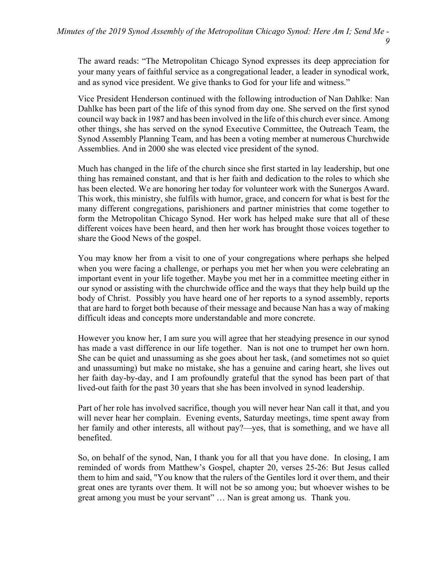The award reads: "The Metropolitan Chicago Synod expresses its deep appreciation for your many years of faithful service as a congregational leader, a leader in synodical work, and as synod vice president. We give thanks to God for your life and witness."

Vice President Henderson continued with the following introduction of Nan Dahlke: Nan Dahlke has been part of the life of this synod from day one. She served on the first synod council way back in 1987 and has been involved in the life of this church ever since. Among other things, she has served on the synod Executive Committee, the Outreach Team, the Synod Assembly Planning Team, and has been a voting member at numerous Churchwide Assemblies. And in 2000 she was elected vice president of the synod.

Much has changed in the life of the church since she first started in lay leadership, but one thing has remained constant, and that is her faith and dedication to the roles to which she has been elected. We are honoring her today for volunteer work with the Sunergos Award. This work, this ministry, she fulfils with humor, grace, and concern for what is best for the many different congregations, parishioners and partner ministries that come together to form the Metropolitan Chicago Synod. Her work has helped make sure that all of these different voices have been heard, and then her work has brought those voices together to share the Good News of the gospel.

You may know her from a visit to one of your congregations where perhaps she helped when you were facing a challenge, or perhaps you met her when you were celebrating an important event in your life together. Maybe you met her in a committee meeting either in our synod or assisting with the churchwide office and the ways that they help build up the body of Christ. Possibly you have heard one of her reports to a synod assembly, reports that are hard to forget both because of their message and because Nan has a way of making difficult ideas and concepts more understandable and more concrete.

However you know her, I am sure you will agree that her steadying presence in our synod has made a vast difference in our life together. Nan is not one to trumpet her own horn. She can be quiet and unassuming as she goes about her task, (and sometimes not so quiet and unassuming) but make no mistake, she has a genuine and caring heart, she lives out her faith day-by-day, and I am profoundly grateful that the synod has been part of that lived-out faith for the past 30 years that she has been involved in synod leadership.

Part of her role has involved sacrifice, though you will never hear Nan call it that, and you will never hear her complain. Evening events, Saturday meetings, time spent away from her family and other interests, all without pay?—yes, that is something, and we have all benefited.

So, on behalf of the synod, Nan, I thank you for all that you have done. In closing, I am reminded of words from Matthew's Gospel, chapter 20, verses 25-26: But Jesus called them to him and said, "You know that the rulers of the Gentiles lord it over them, and their great ones are tyrants over them. It will not be so among you; but whoever wishes to be great among you must be your servant" … Nan is great among us. Thank you.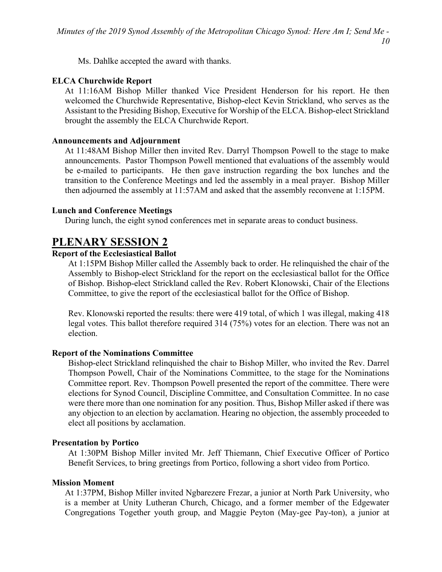Ms. Dahlke accepted the award with thanks.

## ELCA Churchwide Report

At 11:16AM Bishop Miller thanked Vice President Henderson for his report. He then welcomed the Churchwide Representative, Bishop-elect Kevin Strickland, who serves as the Assistant to the Presiding Bishop, Executive for Worship of the ELCA. Bishop-elect Strickland brought the assembly the ELCA Churchwide Report.

## Announcements and Adjournment

At 11:48AM Bishop Miller then invited Rev. Darryl Thompson Powell to the stage to make announcements. Pastor Thompson Powell mentioned that evaluations of the assembly would be e-mailed to participants. He then gave instruction regarding the box lunches and the transition to the Conference Meetings and led the assembly in a meal prayer. Bishop Miller then adjourned the assembly at 11:57AM and asked that the assembly reconvene at 1:15PM.

## Lunch and Conference Meetings

During lunch, the eight synod conferences met in separate areas to conduct business.

# PLENARY SESSION 2

## Report of the Ecclesiastical Ballot

At 1:15PM Bishop Miller called the Assembly back to order. He relinquished the chair of the Assembly to Bishop-elect Strickland for the report on the ecclesiastical ballot for the Office of Bishop. Bishop-elect Strickland called the Rev. Robert Klonowski, Chair of the Elections Committee, to give the report of the ecclesiastical ballot for the Office of Bishop.

Rev. Klonowski reported the results: there were 419 total, of which 1 was illegal, making 418 legal votes. This ballot therefore required 314 (75%) votes for an election. There was not an election.

## Report of the Nominations Committee

Bishop-elect Strickland relinquished the chair to Bishop Miller, who invited the Rev. Darrel Thompson Powell, Chair of the Nominations Committee, to the stage for the Nominations Committee report. Rev. Thompson Powell presented the report of the committee. There were elections for Synod Council, Discipline Committee, and Consultation Committee. In no case were there more than one nomination for any position. Thus, Bishop Miller asked if there was any objection to an election by acclamation. Hearing no objection, the assembly proceeded to elect all positions by acclamation.

#### Presentation by Portico

At 1:30PM Bishop Miller invited Mr. Jeff Thiemann, Chief Executive Officer of Portico Benefit Services, to bring greetings from Portico, following a short video from Portico.

#### Mission Moment

At 1:37PM, Bishop Miller invited Ngbarezere Frezar, a junior at North Park University, who is a member at Unity Lutheran Church, Chicago, and a former member of the Edgewater Congregations Together youth group, and Maggie Peyton (May-gee Pay-ton), a junior at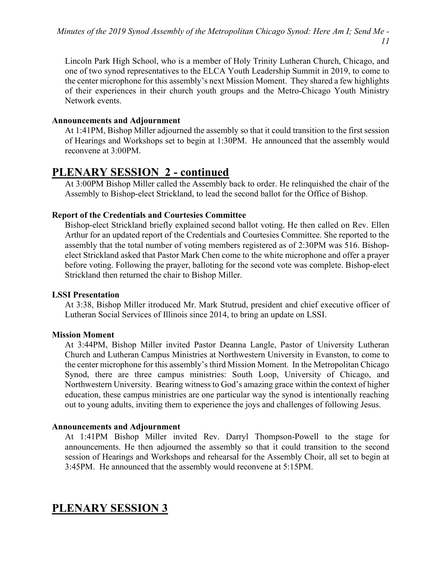Lincoln Park High School, who is a member of Holy Trinity Lutheran Church, Chicago, and one of two synod representatives to the ELCA Youth Leadership Summit in 2019, to come to the center microphone for this assembly's next Mission Moment. They shared a few highlights of their experiences in their church youth groups and the Metro-Chicago Youth Ministry Network events.

## Announcements and Adjournment

At 1:41PM, Bishop Miller adjourned the assembly so that it could transition to the first session of Hearings and Workshops set to begin at 1:30PM. He announced that the assembly would reconvene at 3:00PM.

# PLENARY SESSION 2 - continued

At 3:00PM Bishop Miller called the Assembly back to order. He relinquished the chair of the Assembly to Bishop-elect Strickland, to lead the second ballot for the Office of Bishop.

# Report of the Credentials and Courtesies Committee

Bishop-elect Strickland briefly explained second ballot voting. He then called on Rev. Ellen Arthur for an updated report of the Credentials and Courtesies Committee. She reported to the assembly that the total number of voting members registered as of 2:30PM was 516. Bishopelect Strickland asked that Pastor Mark Chen come to the white microphone and offer a prayer before voting. Following the prayer, balloting for the second vote was complete. Bishop-elect Strickland then returned the chair to Bishop Miller.

# LSSI Presentation

At 3:38, Bishop Miller itroduced Mr. Mark Stutrud, president and chief executive officer of Lutheran Social Services of Illinois since 2014, to bring an update on LSSI.

# Mission Moment

At 3:44PM, Bishop Miller invited Pastor Deanna Langle, Pastor of University Lutheran Church and Lutheran Campus Ministries at Northwestern University in Evanston, to come to the center microphone for this assembly's third Mission Moment. In the Metropolitan Chicago Synod, there are three campus ministries: South Loop, University of Chicago, and Northwestern University. Bearing witness to God's amazing grace within the context of higher education, these campus ministries are one particular way the synod is intentionally reaching out to young adults, inviting them to experience the joys and challenges of following Jesus.

# Announcements and Adjournment

At 1:41PM Bishop Miller invited Rev. Darryl Thompson-Powell to the stage for announcements. He then adjourned the assembly so that it could transition to the second session of Hearings and Workshops and rehearsal for the Assembly Choir, all set to begin at 3:45PM. He announced that the assembly would reconvene at 5:15PM.

# PLENARY SESSION 3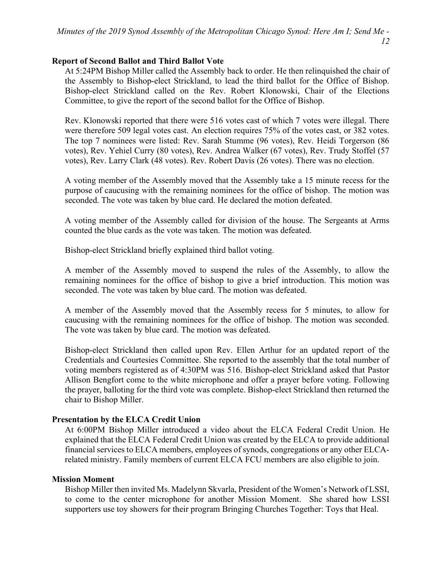## Report of Second Ballot and Third Ballot Vote

At 5:24PM Bishop Miller called the Assembly back to order. He then relinquished the chair of the Assembly to Bishop-elect Strickland, to lead the third ballot for the Office of Bishop. Bishop-elect Strickland called on the Rev. Robert Klonowski, Chair of the Elections Committee, to give the report of the second ballot for the Office of Bishop.

Rev. Klonowski reported that there were 516 votes cast of which 7 votes were illegal. There were therefore 509 legal votes cast. An election requires 75% of the votes cast, or 382 votes. The top 7 nominees were listed: Rev. Sarah Stumme (96 votes), Rev. Heidi Torgerson (86 votes), Rev. Yehiel Curry (80 votes), Rev. Andrea Walker (67 votes), Rev. Trudy Stoffel (57 votes), Rev. Larry Clark (48 votes). Rev. Robert Davis (26 votes). There was no election.

A voting member of the Assembly moved that the Assembly take a 15 minute recess for the purpose of caucusing with the remaining nominees for the office of bishop. The motion was seconded. The vote was taken by blue card. He declared the motion defeated.

A voting member of the Assembly called for division of the house. The Sergeants at Arms counted the blue cards as the vote was taken. The motion was defeated.

Bishop-elect Strickland briefly explained third ballot voting.

A member of the Assembly moved to suspend the rules of the Assembly, to allow the remaining nominees for the office of bishop to give a brief introduction. This motion was seconded. The vote was taken by blue card. The motion was defeated.

A member of the Assembly moved that the Assembly recess for 5 minutes, to allow for caucusing with the remaining nominees for the office of bishop. The motion was seconded. The vote was taken by blue card. The motion was defeated.

Bishop-elect Strickland then called upon Rev. Ellen Arthur for an updated report of the Credentials and Courtesies Committee. She reported to the assembly that the total number of voting members registered as of 4:30PM was 516. Bishop-elect Strickland asked that Pastor Allison Bengfort come to the white microphone and offer a prayer before voting. Following the prayer, balloting for the third vote was complete. Bishop-elect Strickland then returned the chair to Bishop Miller.

# Presentation by the ELCA Credit Union

At 6:00PM Bishop Miller introduced a video about the ELCA Federal Credit Union. He explained that the ELCA Federal Credit Union was created by the ELCA to provide additional financial services to ELCA members, employees of synods, congregations or any other ELCArelated ministry. Family members of current ELCA FCU members are also eligible to join.

# Mission Moment

Bishop Miller then invited Ms. Madelynn Skvarla, President of the Women's Network of LSSI, to come to the center microphone for another Mission Moment. She shared how LSSI supporters use toy showers for their program Bringing Churches Together: Toys that Heal.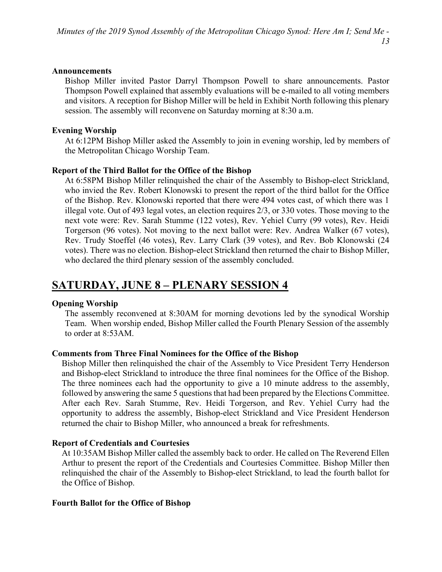#### Announcements

Bishop Miller invited Pastor Darryl Thompson Powell to share announcements. Pastor Thompson Powell explained that assembly evaluations will be e-mailed to all voting members and visitors. A reception for Bishop Miller will be held in Exhibit North following this plenary session. The assembly will reconvene on Saturday morning at 8:30 a.m.

### Evening Worship

At 6:12PM Bishop Miller asked the Assembly to join in evening worship, led by members of the Metropolitan Chicago Worship Team.

## Report of the Third Ballot for the Office of the Bishop

At 6:58PM Bishop Miller relinquished the chair of the Assembly to Bishop-elect Strickland, who invied the Rev. Robert Klonowski to present the report of the third ballot for the Office of the Bishop. Rev. Klonowski reported that there were 494 votes cast, of which there was 1 illegal vote. Out of 493 legal votes, an election requires 2/3, or 330 votes. Those moving to the next vote were: Rev. Sarah Stumme (122 votes), Rev. Yehiel Curry (99 votes), Rev. Heidi Torgerson (96 votes). Not moving to the next ballot were: Rev. Andrea Walker (67 votes), Rev. Trudy Stoeffel (46 votes), Rev. Larry Clark (39 votes), and Rev. Bob Klonowski (24 votes). There was no election. Bishop-elect Strickland then returned the chair to Bishop Miller, who declared the third plenary session of the assembly concluded.

# SATURDAY, JUNE 8 – PLENARY SESSION 4

#### Opening Worship

The assembly reconvened at 8:30AM for morning devotions led by the synodical Worship Team. When worship ended, Bishop Miller called the Fourth Plenary Session of the assembly to order at 8:53AM.

#### Comments from Three Final Nominees for the Office of the Bishop

Bishop Miller then relinquished the chair of the Assembly to Vice President Terry Henderson and Bishop-elect Strickland to introduce the three final nominees for the Office of the Bishop. The three nominees each had the opportunity to give a 10 minute address to the assembly, followed by answering the same 5 questions that had been prepared by the Elections Committee. After each Rev. Sarah Stumme, Rev. Heidi Torgerson, and Rev. Yehiel Curry had the opportunity to address the assembly, Bishop-elect Strickland and Vice President Henderson returned the chair to Bishop Miller, who announced a break for refreshments.

#### Report of Credentials and Courtesies

At 10:35AM Bishop Miller called the assembly back to order. He called on The Reverend Ellen Arthur to present the report of the Credentials and Courtesies Committee. Bishop Miller then relinquished the chair of the Assembly to Bishop-elect Strickland, to lead the fourth ballot for the Office of Bishop.

#### Fourth Ballot for the Office of Bishop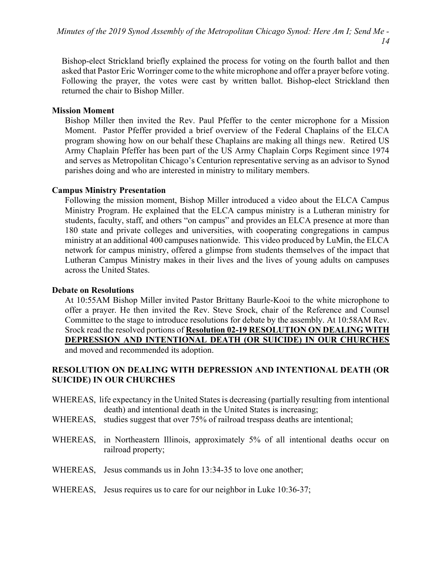Bishop-elect Strickland briefly explained the process for voting on the fourth ballot and then asked that Pastor Eric Worringer come to the white microphone and offer a prayer before voting. Following the prayer, the votes were cast by written ballot. Bishop-elect Strickland then returned the chair to Bishop Miller.

## Mission Moment

Bishop Miller then invited the Rev. Paul Pfeffer to the center microphone for a Mission Moment. Pastor Pfeffer provided a brief overview of the Federal Chaplains of the ELCA program showing how on our behalf these Chaplains are making all things new. Retired US Army Chaplain Pfeffer has been part of the US Army Chaplain Corps Regiment since 1974 and serves as Metropolitan Chicago's Centurion representative serving as an advisor to Synod parishes doing and who are interested in ministry to military members.

## Campus Ministry Presentation

Following the mission moment, Bishop Miller introduced a video about the ELCA Campus Ministry Program. He explained that the ELCA campus ministry is a Lutheran ministry for students, faculty, staff, and others "on campus" and provides an ELCA presence at more than 180 state and private colleges and universities, with cooperating congregations in campus ministry at an additional 400 campuses nationwide. This video produced by LuMin, the ELCA network for campus ministry, offered a glimpse from students themselves of the impact that Lutheran Campus Ministry makes in their lives and the lives of young adults on campuses across the United States.

## Debate on Resolutions

At 10:55AM Bishop Miller invited Pastor Brittany Baurle-Kooi to the white microphone to offer a prayer. He then invited the Rev. Steve Srock, chair of the Reference and Counsel Committee to the stage to introduce resolutions for debate by the assembly. At 10:58AM Rev. Srock read the resolved portions of Resolution 02-19 RESOLUTION ON DEALING WITH DEPRESSION AND INTENTIONAL DEATH (OR SUICIDE) IN OUR CHURCHES and moved and recommended its adoption.

## RESOLUTION ON DEALING WITH DEPRESSION AND INTENTIONAL DEATH (OR SUICIDE) IN OUR CHURCHES

- WHEREAS, life expectancy in the United States is decreasing (partially resulting from intentional death) and intentional death in the United States is increasing;
- WHEREAS, studies suggest that over 75% of railroad trespass deaths are intentional;
- WHEREAS, in Northeastern Illinois, approximately 5% of all intentional deaths occur on railroad property;
- WHEREAS, Jesus commands us in John 13:34-35 to love one another;

## WHEREAS, Jesus requires us to care for our neighbor in Luke 10:36-37;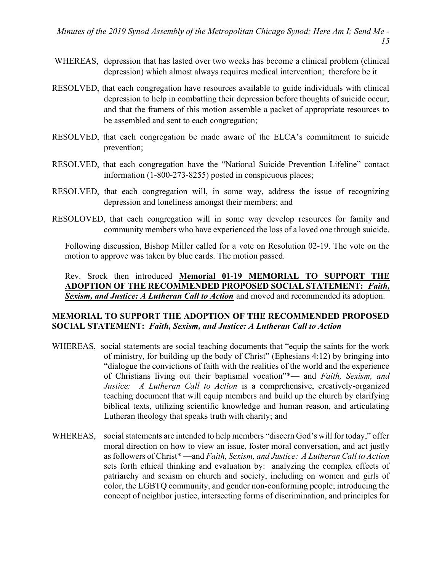- WHEREAS, depression that has lasted over two weeks has become a clinical problem (clinical depression) which almost always requires medical intervention; therefore be it
- RESOLVED, that each congregation have resources available to guide individuals with clinical depression to help in combatting their depression before thoughts of suicide occur; and that the framers of this motion assemble a packet of appropriate resources to be assembled and sent to each congregation;
- RESOLVED, that each congregation be made aware of the ELCA's commitment to suicide prevention;
- RESOLVED, that each congregation have the "National Suicide Prevention Lifeline" contact information (1-800-273-8255) posted in conspicuous places;
- RESOLVED, that each congregation will, in some way, address the issue of recognizing depression and loneliness amongst their members; and
- RESOLOVED, that each congregation will in some way develop resources for family and community members who have experienced the loss of a loved one through suicide.

Following discussion, Bishop Miller called for a vote on Resolution 02-19. The vote on the motion to approve was taken by blue cards. The motion passed.

## Rev. Srock then introduced Memorial 01-19 MEMORIAL TO SUPPORT THE ADOPTION OF THE RECOMMENDED PROPOSED SOCIAL STATEMENT: Faith, Sexism, and Justice: A Lutheran Call to Action and moved and recommended its adoption.

## MEMORIAL TO SUPPORT THE ADOPTION OF THE RECOMMENDED PROPOSED SOCIAL STATEMENT: Faith, Sexism, and Justice: A Lutheran Call to Action

- WHEREAS, social statements are social teaching documents that "equip the saints for the work of ministry, for building up the body of Christ" (Ephesians 4:12) by bringing into "dialogue the convictions of faith with the realities of the world and the experience of Christians living out their baptismal vocation"\*— and Faith, Sexism, and Justice: A Lutheran Call to Action is a comprehensive, creatively-organized teaching document that will equip members and build up the church by clarifying biblical texts, utilizing scientific knowledge and human reason, and articulating Lutheran theology that speaks truth with charity; and
- WHEREAS, social statements are intended to help members "discern God's will for today," offer moral direction on how to view an issue, foster moral conversation, and act justly as followers of Christ\* —and Faith, Sexism, and Justice: A Lutheran Call to Action sets forth ethical thinking and evaluation by: analyzing the complex effects of patriarchy and sexism on church and society, including on women and girls of color, the LGBTQ community, and gender non-conforming people; introducing the concept of neighbor justice, intersecting forms of discrimination, and principles for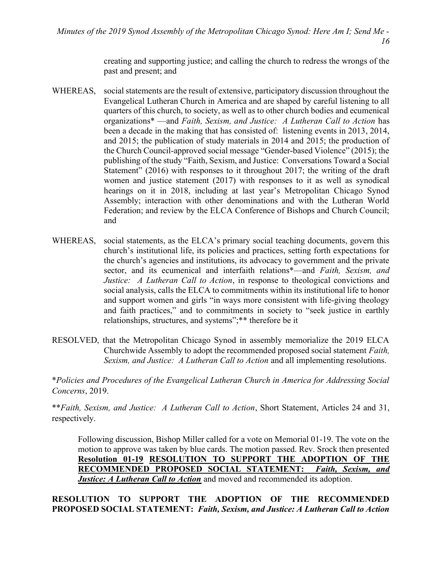creating and supporting justice; and calling the church to redress the wrongs of the past and present; and

- WHEREAS, social statements are the result of extensive, participatory discussion throughout the Evangelical Lutheran Church in America and are shaped by careful listening to all quarters of this church, to society, as well as to other church bodies and ecumenical organizations\* —and Faith, Sexism, and Justice: A Lutheran Call to Action has been a decade in the making that has consisted of: listening events in 2013, 2014, and 2015; the publication of study materials in 2014 and 2015; the production of the Church Council-approved social message "Gender-based Violence" (2015); the publishing of the study "Faith, Sexism, and Justice: Conversations Toward a Social Statement" (2016) with responses to it throughout 2017; the writing of the draft women and justice statement (2017) with responses to it as well as synodical hearings on it in 2018, including at last year's Metropolitan Chicago Synod Assembly; interaction with other denominations and with the Lutheran World Federation; and review by the ELCA Conference of Bishops and Church Council; and
- WHEREAS, social statements, as the ELCA's primary social teaching documents, govern this church's institutional life, its policies and practices, setting forth expectations for the church's agencies and institutions, its advocacy to government and the private sector, and its ecumenical and interfaith relations\*—and Faith, Sexism, and Justice: A Lutheran Call to Action, in response to theological convictions and social analysis, calls the ELCA to commitments within its institutional life to honor and support women and girls "in ways more consistent with life-giving theology and faith practices," and to commitments in society to "seek justice in earthly relationships, structures, and systems";\*\* therefore be it
- RESOLVED, that the Metropolitan Chicago Synod in assembly memorialize the 2019 ELCA Churchwide Assembly to adopt the recommended proposed social statement Faith, Sexism, and Justice: A Lutheran Call to Action and all implementing resolutions.

\*Policies and Procedures of the Evangelical Lutheran Church in America for Addressing Social Concerns, 2019.

\*\* Faith, Sexism, and Justice: A Lutheran Call to Action, Short Statement, Articles 24 and 31, respectively.

Following discussion, Bishop Miller called for a vote on Memorial 01-19. The vote on the motion to approve was taken by blue cards. The motion passed. Rev. Srock then presented Resolution 01-19 RESOLUTION TO SUPPORT THE ADOPTION OF THE RECOMMENDED PROPOSED SOCIAL STATEMENT: Faith, Sexism, and **Justice: A Lutheran Call to Action** and moved and recommended its adoption.

RESOLUTION TO SUPPORT THE ADOPTION OF THE RECOMMENDED PROPOSED SOCIAL STATEMENT: Faith, Sexism, and Justice: A Lutheran Call to Action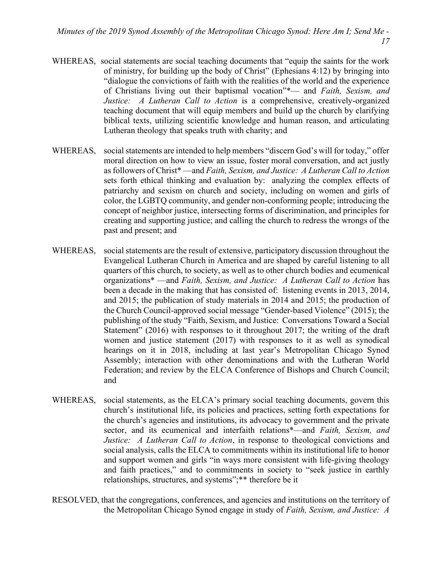- WHEREAS, social statements are social teaching documents that "equip the saints for the work of ministry, for building up the body of Christ" (Ephesians 4:12) by bringing into "dialogue the convictions of faith with the realities of the world and the experience of Christians living out their baptismal vocation"\*- and Faith, Sexism, and Justice: A Lutheran Call to Action is a comprehensive, creatively-organized teaching document that will equip members and build up the church by clarifying biblical texts, utilizing scientific knowledge and human reason, and articulating Lutheran theology that speaks truth with charity; and
- WHEREAS, social statements are intended to help members "discern God's will for today," offer moral direction on how to view an issue, foster moral conversation, and act justly as followers of Christ\* —and Faith, Sexism, and Justice: A Lutheran Call to Action sets forth ethical thinking and evaluation by: analyzing the complex effects of patriarchy and sexism on church and society, including on women and girls of color, the LGBTQ community, and gender non-conforming people; introducing the concept of neighbor justice, intersecting forms of discrimination, and principles for creating and supporting justice; and calling the church to redress the wrongs of the past and present; and
- WHEREAS, social statements are the result of extensive, participatory discussion throughout the Evangelical Lutheran Church in America and are shaped by careful listening to all quarters of this church, to society, as well as to other church bodies and ecumenical organizations\* —and Faith, Sexism, and Justice: A Lutheran Call to Action has been a decade in the making that has consisted of: listening events in 2013, 2014, and 2015; the publication of study materials in 2014 and 2015; the production of the Church Council-approved social message "Gender-based Violence" (2015); the publishing of the study "Faith, Sexism, and Justice: Conversations Toward a Social Statement" (2016) with responses to it throughout 2017; the writing of the draft women and justice statement (2017) with responses to it as well as synodical hearings on it in 2018, including at last year's Metropolitan Chicago Synod Assembly; interaction with other denominations and with the Lutheran World Federation; and review by the ELCA Conference of Bishops and Church Council; and
- WHEREAS, social statements, as the ELCA's primary social teaching documents, govern this church's institutional life, its policies and practices, setting forth expectations for the church's agencies and institutions, its advocacy to government and the private sector, and its ecumenical and interfaith relations\*—and Faith, Sexism, and Justice: A Lutheran Call to Action, in response to theological convictions and social analysis, calls the ELCA to commitments within its institutional life to honor and support women and girls "in ways more consistent with life-giving theology and faith practices," and to commitments in society to "seek justice in earthly relationships, structures, and systems";\*\* therefore be it
- RESOLVED, that the congregations, conferences, and agencies and institutions on the territory of the Metropolitan Chicago Synod engage in study of Faith, Sexism, and Justice: A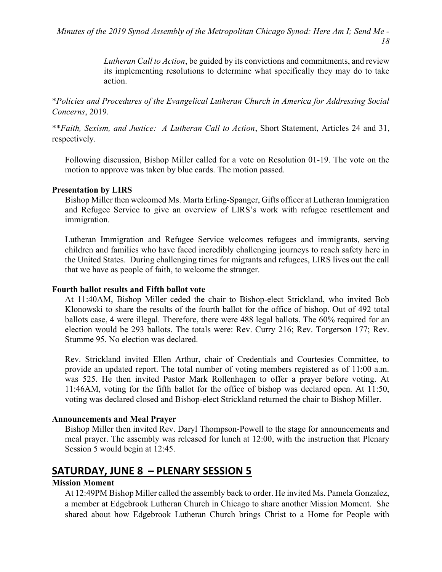Lutheran Call to Action, be guided by its convictions and commitments, and review its implementing resolutions to determine what specifically they may do to take action.

\*Policies and Procedures of the Evangelical Lutheran Church in America for Addressing Social Concerns, 2019.

\*\*Faith, Sexism, and Justice: A Lutheran Call to Action, Short Statement, Articles 24 and 31, respectively.

Following discussion, Bishop Miller called for a vote on Resolution 01-19. The vote on the motion to approve was taken by blue cards. The motion passed.

## Presentation by LIRS

Bishop Miller then welcomed Ms. Marta Erling-Spanger, Gifts officer at Lutheran Immigration and Refugee Service to give an overview of LIRS's work with refugee resettlement and immigration.

Lutheran Immigration and Refugee Service welcomes refugees and immigrants, serving children and families who have faced incredibly challenging journeys to reach safety here in the United States. During challenging times for migrants and refugees, LIRS lives out the call that we have as people of faith, to welcome the stranger.

### Fourth ballot results and Fifth ballot vote

At 11:40AM, Bishop Miller ceded the chair to Bishop-elect Strickland, who invited Bob Klonowski to share the results of the fourth ballot for the office of bishop. Out of 492 total ballots case, 4 were illegal. Therefore, there were 488 legal ballots. The 60% required for an election would be 293 ballots. The totals were: Rev. Curry 216; Rev. Torgerson 177; Rev. Stumme 95. No election was declared.

Rev. Strickland invited Ellen Arthur, chair of Credentials and Courtesies Committee, to provide an updated report. The total number of voting members registered as of 11:00 a.m. was 525. He then invited Pastor Mark Rollenhagen to offer a prayer before voting. At 11:46AM, voting for the fifth ballot for the office of bishop was declared open. At 11:50, voting was declared closed and Bishop-elect Strickland returned the chair to Bishop Miller.

## Announcements and Meal Prayer

Bishop Miller then invited Rev. Daryl Thompson-Powell to the stage for announcements and meal prayer. The assembly was released for lunch at 12:00, with the instruction that Plenary Session 5 would begin at 12:45.

# SATURDAY, JUNE 8 – PLENARY SESSION 5

## Mission Moment

At 12:49PM Bishop Miller called the assembly back to order. He invited Ms. Pamela Gonzalez, a member at Edgebrook Lutheran Church in Chicago to share another Mission Moment. She shared about how Edgebrook Lutheran Church brings Christ to a Home for People with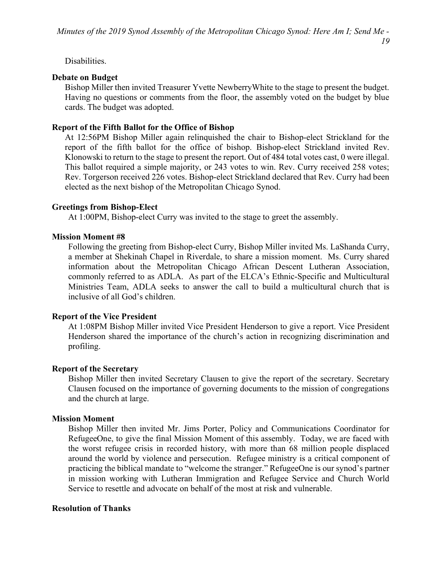## Disabilities.

# Debate on Budget

Bishop Miller then invited Treasurer Yvette NewberryWhite to the stage to present the budget. Having no questions or comments from the floor, the assembly voted on the budget by blue cards. The budget was adopted.

# Report of the Fifth Ballot for the Office of Bishop

At 12:56PM Bishop Miller again relinquished the chair to Bishop-elect Strickland for the report of the fifth ballot for the office of bishop. Bishop-elect Strickland invited Rev. Klonowski to return to the stage to present the report. Out of 484 total votes cast, 0 were illegal. This ballot required a simple majority, or 243 votes to win. Rev. Curry received 258 votes; Rev. Torgerson received 226 votes. Bishop-elect Strickland declared that Rev. Curry had been elected as the next bishop of the Metropolitan Chicago Synod.

# Greetings from Bishop-Elect

At 1:00PM, Bishop-elect Curry was invited to the stage to greet the assembly.

# Mission Moment #8

Following the greeting from Bishop-elect Curry, Bishop Miller invited Ms. LaShanda Curry, a member at Shekinah Chapel in Riverdale, to share a mission moment. Ms. Curry shared information about the Metropolitan Chicago African Descent Lutheran Association, commonly referred to as ADLA. As part of the ELCA's Ethnic-Specific and Multicultural Ministries Team, ADLA seeks to answer the call to build a multicultural church that is inclusive of all God's children.

# Report of the Vice President

At 1:08PM Bishop Miller invited Vice President Henderson to give a report. Vice President Henderson shared the importance of the church's action in recognizing discrimination and profiling.

# Report of the Secretary

Bishop Miller then invited Secretary Clausen to give the report of the secretary. Secretary Clausen focused on the importance of governing documents to the mission of congregations and the church at large.

# Mission Moment

Bishop Miller then invited Mr. Jims Porter, Policy and Communications Coordinator for RefugeeOne, to give the final Mission Moment of this assembly. Today, we are faced with the worst refugee crisis in recorded history, with more than 68 million people displaced around the world by violence and persecution. Refugee ministry is a critical component of practicing the biblical mandate to "welcome the stranger." RefugeeOne is our synod's partner in mission working with Lutheran Immigration and Refugee Service and Church World Service to resettle and advocate on behalf of the most at risk and vulnerable.

# Resolution of Thanks